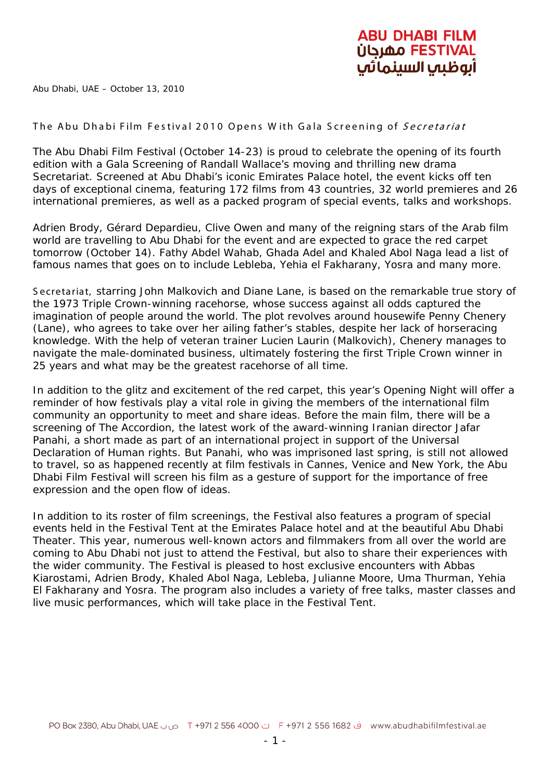

Abu Dhabi, UAE – October 13, 2010

## The Abu Dhabi Film Festival 2010 Opens With Gala Screening of Secretariat

The Abu Dhabi Film Festival (October 14-23) is proud to celebrate the opening of its fourth edition with a Gala Screening of Randall Wallace's moving and thrilling new drama *Secretariat*. Screened at Abu Dhabi's iconic Emirates Palace hotel, the event kicks off ten days of exceptional cinema, featuring 172 films from 43 countries, 32 world premieres and 26 international premieres, as well as a packed program of special events, talks and workshops.

Adrien Brody, Gérard Depardieu, Clive Owen and many of the reigning stars of the Arab film world are travelling to Abu Dhabi for the event and are expected to grace the red carpet tomorrow (October 14). Fathy Abdel Wahab, Ghada Adel and Khaled Abol Naga lead a list of famous names that goes on to include Lebleba, Yehia el Fakharany, Yosra and many more.

S ecretariat, starring John Malkovich and Diane Lane, is based on the remarkable true story of the 1973 Triple Crown-winning racehorse, whose success against all odds captured the imagination of people around the world. The plot revolves around housewife Penny Chenery (Lane), who agrees to take over her ailing father's stables, despite her lack of horseracing knowledge. With the help of veteran trainer Lucien Laurin (Malkovich), Chenery manages to navigate the male-dominated business, ultimately fostering the first Triple Crown winner in 25 years and what may be the greatest racehorse of all time.

In addition to the glitz and excitement of the red carpet, this year's Opening Night will offer a reminder of how festivals play a vital role in giving the members of the international film community an opportunity to meet and share ideas. Before the main film, there will be a screening of *The Accordion*, the latest work of the award-winning Iranian director Jafar Panahi, a short made as part of an international project in support of the Universal Declaration of Human rights. But Panahi, who was imprisoned last spring, is still not allowed to travel, so as happened recently at film festivals in Cannes, Venice and New York, the Abu Dhabi Film Festival will screen his film as a gesture of support for the importance of free expression and the open flow of ideas.

In addition to its roster of film screenings, the Festival also features a program of special events held in the Festival Tent at the Emirates Palace hotel and at the beautiful Abu Dhabi Theater. This year, numerous well-known actors and filmmakers from all over the world are coming to Abu Dhabi not just to attend the Festival, but also to share their experiences with the wider community. The Festival is pleased to host exclusive encounters with Abbas Kiarostami, Adrien Brody, Khaled Abol Naga, Lebleba, Julianne Moore, Uma Thurman, Yehia El Fakharany and Yosra. The program also includes a variety of free talks, master classes and live music performances, which will take place in the Festival Tent.